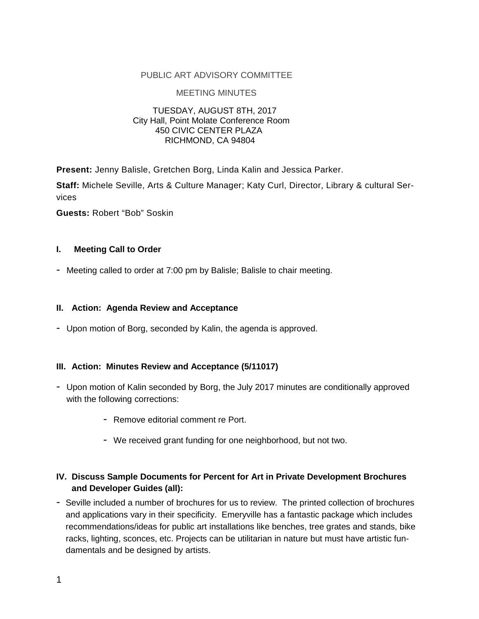#### PUBLIC ART ADVISORY COMMITTEE

#### MEETING MINUTES

#### TUESDAY, AUGUST 8TH, 2017 City Hall, Point Molate Conference Room 450 CIVIC CENTER PLAZA RICHMOND, CA 94804

**Present:** Jenny Balisle, Gretchen Borg, Linda Kalin and Jessica Parker.

**Staff:** Michele Seville, Arts & Culture Manager; Katy Curl, Director, Library & cultural Services

**Guests:** Robert "Bob" Soskin

#### **I. Meeting Call to Order**

- Meeting called to order at 7:00 pm by Balisle; Balisle to chair meeting.

#### **II. Action: Agenda Review and Acceptance**

- Upon motion of Borg, seconded by Kalin, the agenda is approved.

#### **III. Action: Minutes Review and Acceptance (5/11017)**

- Upon motion of Kalin seconded by Borg, the July 2017 minutes are conditionally approved with the following corrections:
	- Remove editorial comment re Port.
	- We received grant funding for one neighborhood, but not two.

## **IV. Discuss Sample Documents for Percent for Art in Private Development Brochures and Developer Guides (all):**

- Seville included a number of brochures for us to review. The printed collection of brochures and applications vary in their specificity. Emeryville has a fantastic package which includes recommendations/ideas for public art installations like benches, tree grates and stands, bike racks, lighting, sconces, etc. Projects can be utilitarian in nature but must have artistic fundamentals and be designed by artists.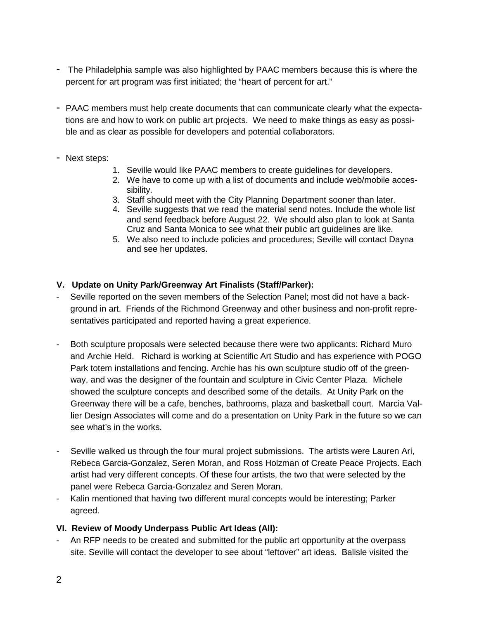- The Philadelphia sample was also highlighted by PAAC members because this is where the percent for art program was first initiated; the "heart of percent for art."
- PAAC members must help create documents that can communicate clearly what the expectations are and how to work on public art projects. We need to make things as easy as possible and as clear as possible for developers and potential collaborators.
- Next steps:
	- 1. Seville would like PAAC members to create guidelines for developers.
	- 2. We have to come up with a list of documents and include web/mobile accessibility.
	- 3. Staff should meet with the City Planning Department sooner than later.
	- 4. Seville suggests that we read the material send notes. Include the whole list and send feedback before August 22. We should also plan to look at Santa Cruz and Santa Monica to see what their public art guidelines are like.
	- 5. We also need to include policies and procedures; Seville will contact Dayna and see her updates.

## **V. Update on Unity Park/Greenway Art Finalists (Staff/Parker):**

- Seville reported on the seven members of the Selection Panel; most did not have a background in art. Friends of the Richmond Greenway and other business and non-profit representatives participated and reported having a great experience.
- Both sculpture proposals were selected because there were two applicants: Richard Muro and Archie Held. Richard is working at Scientific Art Studio and has experience with POGO Park totem installations and fencing. Archie has his own sculpture studio off of the greenway, and was the designer of the fountain and sculpture in Civic Center Plaza. Michele showed the sculpture concepts and described some of the details. At Unity Park on the Greenway there will be a cafe, benches, bathrooms, plaza and basketball court. Marcia Vallier Design Associates will come and do a presentation on Unity Park in the future so we can see what's in the works.
- Seville walked us through the four mural project submissions. The artists were Lauren Ari, Rebeca Garcia-Gonzalez, Seren Moran, and Ross Holzman of Create Peace Projects. Each artist had very different concepts. Of these four artists, the two that were selected by the panel were Rebeca Garcia-Gonzalez and Seren Moran.
- Kalin mentioned that having two different mural concepts would be interesting; Parker agreed.

## **VI. Review of Moody Underpass Public Art Ideas (All):**

- An RFP needs to be created and submitted for the public art opportunity at the overpass site. Seville will contact the developer to see about "leftover" art ideas. Balisle visited the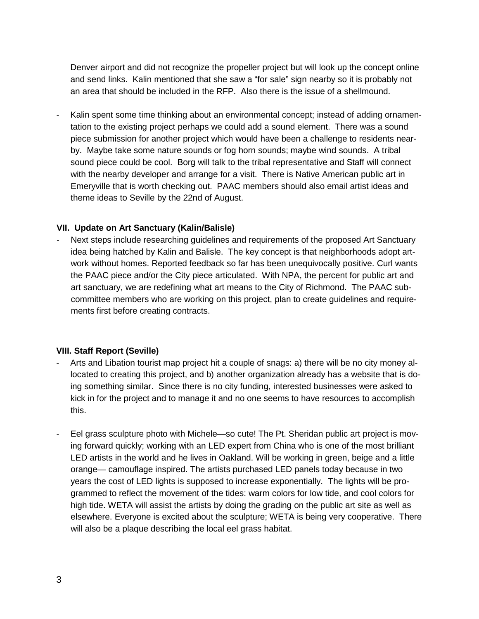Denver airport and did not recognize the propeller project but will look up the concept online and send links. Kalin mentioned that she saw a "for sale" sign nearby so it is probably not an area that should be included in the RFP. Also there is the issue of a shellmound.

Kalin spent some time thinking about an environmental concept; instead of adding ornamentation to the existing project perhaps we could add a sound element. There was a sound piece submission for another project which would have been a challenge to residents nearby. Maybe take some nature sounds or fog horn sounds; maybe wind sounds. A tribal sound piece could be cool. Borg will talk to the tribal representative and Staff will connect with the nearby developer and arrange for a visit. There is Native American public art in Emeryville that is worth checking out. PAAC members should also email artist ideas and theme ideas to Seville by the 22nd of August.

### **VII. Update on Art Sanctuary (Kalin/Balisle)**

Next steps include researching guidelines and requirements of the proposed Art Sanctuary idea being hatched by Kalin and Balisle. The key concept is that neighborhoods adopt artwork without homes. Reported feedback so far has been unequivocally positive. Curl wants the PAAC piece and/or the City piece articulated. With NPA, the percent for public art and art sanctuary, we are redefining what art means to the City of Richmond. The PAAC subcommittee members who are working on this project, plan to create guidelines and requirements first before creating contracts.

## **VIII. Staff Report (Seville)**

- Arts and Libation tourist map project hit a couple of snags: a) there will be no city money allocated to creating this project, and b) another organization already has a website that is doing something similar. Since there is no city funding, interested businesses were asked to kick in for the project and to manage it and no one seems to have resources to accomplish this.
- Eel grass sculpture photo with Michele—so cute! The Pt. Sheridan public art project is moving forward quickly; working with an LED expert from China who is one of the most brilliant LED artists in the world and he lives in Oakland. Will be working in green, beige and a little orange— camouflage inspired. The artists purchased LED panels today because in two years the cost of LED lights is supposed to increase exponentially. The lights will be programmed to reflect the movement of the tides: warm colors for low tide, and cool colors for high tide. WETA will assist the artists by doing the grading on the public art site as well as elsewhere. Everyone is excited about the sculpture; WETA is being very cooperative. There will also be a plaque describing the local eel grass habitat.